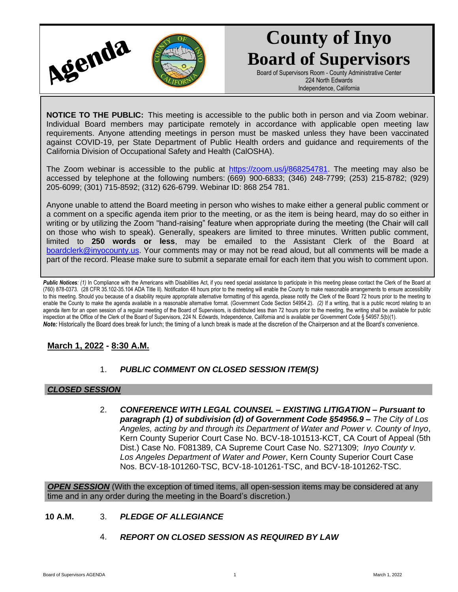

# **County of Inyo Board of Supervisors**

Board of Supervisors Room - County Administrative Center 224 North Edwards Independence, California

**NOTICE TO THE PUBLIC:** This meeting is accessible to the public both in person and via Zoom webinar. Individual Board members may participate remotely in accordance with applicable open meeting law requirements. Anyone attending meetings in person must be masked unless they have been vaccinated against COVID-19, per State Department of Public Health orders and guidance and requirements of the California Division of Occupational Safety and Health (CalOSHA).

The Zoom webinar is accessible to the public at [https://zoom.us/j/868254781.](https://zoom.us/j/868254781) The meeting may also be accessed by telephone at the following numbers: (669) 900-6833; (346) 248-7799; (253) 215-8782; (929) 205-6099; (301) 715-8592; (312) 626-6799. Webinar ID: 868 254 781.

Anyone unable to attend the Board meeting in person who wishes to make either a general public comment or a comment on a specific agenda item prior to the meeting, or as the item is being heard, may do so either in writing or by utilizing the Zoom "hand-raising" feature when appropriate during the meeting (the Chair will call on those who wish to speak). Generally, speakers are limited to three minutes. Written public comment, limited to **250 words or less**, may be emailed to the Assistant Clerk of the Board at [boardclerk@inyocounty.us.](mailto:boardclerk@inyocounty.us) Your comments may or may not be read aloud, but all comments will be made a part of the record. Please make sure to submit a separate email for each item that you wish to comment upon.

Public Notices: (1) In Compliance with the Americans with Disabilities Act, if you need special assistance to participate in this meeting please contact the Clerk of the Board at (760) 878-0373. (28 CFR 35.102-35.104 ADA Title II). Notification 48 hours prior to the meeting will enable the County to make reasonable arrangements to ensure accessibility to this meeting. Should you because of a disability require appropriate alternative formatting of this agenda, please notify the Clerk of the Board 72 hours prior to the meeting to enable the County to make the agenda available in a reasonable alternative format. (Government Code Section 54954.2). *(2)* If a writing, that is a public record relating to an agenda item for an open session of a regular meeting of the Board of Supervisors, is distributed less than 72 hours prior to the meeting, the writing shall be available for public inspection at the Office of the Clerk of the Board of Supervisors, 224 N. Edwards, Independence, California and is available per Government Code § 54957.5(b)(1). *Note:* Historically the Board does break for lunch; the timing of a lunch break is made at the discretion of the Chairperson and at the Board's convenience.

## **March 1, 2022 - 8:30 A.M.**

## 1. *PUBLIC COMMENT ON CLOSED SESSION ITEM(S)*

### *CLOSED SESSION*

2. *CONFERENCE WITH LEGAL COUNSEL – EXISTING LITIGATION – Pursuant to paragraph (1) of subdivision (d) of Government Code §54956.9 – The City of Los Angeles, acting by and through its Department of Water and Power v. County of Inyo*, Kern County Superior Court Case No. BCV-18-101513-KCT, CA Court of Appeal (5th Dist.) Case No. F081389, CA Supreme Court Case No. S271309; *Inyo County v. Los Angeles Department of Water and Power*, Kern County Superior Court Case Nos. BCV-18-101260-TSC, BCV-18-101261-TSC, and BCV-18-101262-TSC.

*OPEN SESSION* (With the exception of timed items, all open-session items may be considered at any time and in any order during the meeting in the Board's discretion.)

### **10 A.M.** 3. *PLEDGE OF ALLEGIANCE*

4. *REPORT ON CLOSED SESSION AS REQUIRED BY LAW*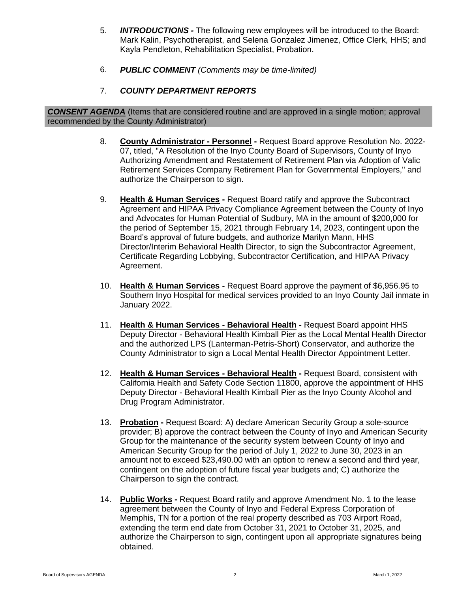- 5. *INTRODUCTIONS -* The following new employees will be introduced to the Board: Mark Kalin, Psychotherapist, and Selena Gonzalez Jimenez, Office Clerk, HHS; and Kayla Pendleton, Rehabilitation Specialist, Probation.
- 6. *PUBLIC COMMENT (Comments may be time-limited)*
- 7. *COUNTY DEPARTMENT REPORTS*

*CONSENT AGENDA* (Items that are considered routine and are approved in a single motion; approval recommended by the County Administrator)

- 8. **County Administrator - Personnel -** Request Board approve Resolution No. 2022- 07, titled, "A Resolution of the Inyo County Board of Supervisors, County of Inyo Authorizing Amendment and Restatement of Retirement Plan via Adoption of Valic Retirement Services Company Retirement Plan for Governmental Employers," and authorize the Chairperson to sign.
- 9. **Health & Human Services -** Request Board ratify and approve the Subcontract Agreement and HIPAA Privacy Compliance Agreement between the County of Inyo and Advocates for Human Potential of Sudbury, MA in the amount of \$200,000 for the period of September 15, 2021 through February 14, 2023, contingent upon the Board's approval of future budgets, and authorize Marilyn Mann, HHS Director/Interim Behavioral Health Director, to sign the Subcontractor Agreement, Certificate Regarding Lobbying, Subcontractor Certification, and HIPAA Privacy Agreement.
- 10. **Health & Human Services -** Request Board approve the payment of \$6,956.95 to Southern Inyo Hospital for medical services provided to an Inyo County Jail inmate in January 2022.
- 11. **Health & Human Services - Behavioral Health -** Request Board appoint HHS Deputy Director - Behavioral Health Kimball Pier as the Local Mental Health Director and the authorized LPS (Lanterman-Petris-Short) Conservator, and authorize the County Administrator to sign a Local Mental Health Director Appointment Letter.
- 12. **Health & Human Services - Behavioral Health -** Request Board, consistent with California Health and Safety Code Section 11800, approve the appointment of HHS Deputy Director - Behavioral Health Kimball Pier as the Inyo County Alcohol and Drug Program Administrator.
- 13. **Probation -** Request Board: A) declare American Security Group a sole-source provider; B) approve the contract between the County of Inyo and American Security Group for the maintenance of the security system between County of Inyo and American Security Group for the period of July 1, 2022 to June 30, 2023 in an amount not to exceed \$23,490.00 with an option to renew a second and third year, contingent on the adoption of future fiscal year budgets and; C) authorize the Chairperson to sign the contract.
- 14. **Public Works -** Request Board ratify and approve Amendment No. 1 to the lease agreement between the County of Inyo and Federal Express Corporation of Memphis, TN for a portion of the real property described as 703 Airport Road, extending the term end date from October 31, 2021 to October 31, 2025, and authorize the Chairperson to sign, contingent upon all appropriate signatures being obtained.